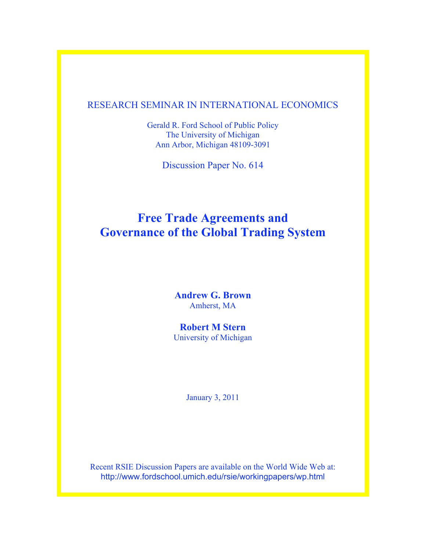# RESEARCH SEMINAR IN INTERNATIONAL ECONOMICS

Gerald R. Ford School of Public Policy The University of Michigan Ann Arbor, Michigan 48109-3091

Discussion Paper No. 614

# **Free Trade Agreements and Governance of the Global Trading System**

**Andrew G. Brown** Amherst, MA

**Robert M Stern** University of Michigan

January 3, 2011

Recent RSIE Discussion Papers are available on the World Wide Web at: http://www.fordschool.umich.edu/rsie/workingpapers/wp.html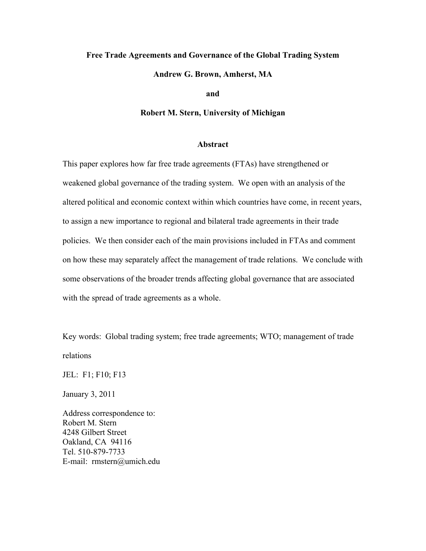# **Free Trade Agreements and Governance of the Global Trading System**

**Andrew G. Brown, Amherst, MA**

**and**

**Robert M. Stern, University of Michigan**

#### **Abstract**

This paper explores how far free trade agreements (FTAs) have strengthened or weakened global governance of the trading system. We open with an analysis of the altered political and economic context within which countries have come, in recent years, to assign a new importance to regional and bilateral trade agreements in their trade policies. We then consider each of the main provisions included in FTAs and comment on how these may separately affect the management of trade relations. We conclude with some observations of the broader trends affecting global governance that are associated with the spread of trade agreements as a whole.

Key words: Global trading system; free trade agreements; WTO; management of trade relations

JEL: F1; F10; F13

January 3, 2011

Address correspondence to: Robert M. Stern 4248 Gilbert Street Oakland, CA 94116 Tel. 510-879-7733 E-mail: rmstern@umich.edu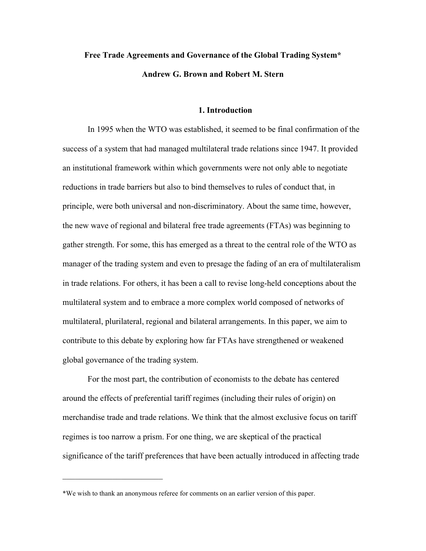# **Free Trade Agreements and Governance of the Global Trading System\* Andrew G. Brown and Robert M. Stern**

#### **1. Introduction**

In 1995 when the WTO was established, it seemed to be final confirmation of the success of a system that had managed multilateral trade relations since 1947. It provided an institutional framework within which governments were not only able to negotiate reductions in trade barriers but also to bind themselves to rules of conduct that, in principle, were both universal and non-discriminatory. About the same time, however, the new wave of regional and bilateral free trade agreements (FTAs) was beginning to gather strength. For some, this has emerged as a threat to the central role of the WTO as manager of the trading system and even to presage the fading of an era of multilateralism in trade relations. For others, it has been a call to revise long-held conceptions about the multilateral system and to embrace a more complex world composed of networks of multilateral, plurilateral, regional and bilateral arrangements. In this paper, we aim to contribute to this debate by exploring how far FTAs have strengthened or weakened global governance of the trading system.

For the most part, the contribution of economists to the debate has centered around the effects of preferential tariff regimes (including their rules of origin) on merchandise trade and trade relations. We think that the almost exclusive focus on tariff regimes is too narrow a prism. For one thing, we are skeptical of the practical significance of the tariff preferences that have been actually introduced in affecting trade

 $\mathcal{L}_\text{max}$  , where  $\mathcal{L}_\text{max}$  , we have the set of  $\mathcal{L}_\text{max}$ 

<sup>\*</sup>We wish to thank an anonymous referee for comments on an earlier version of this paper.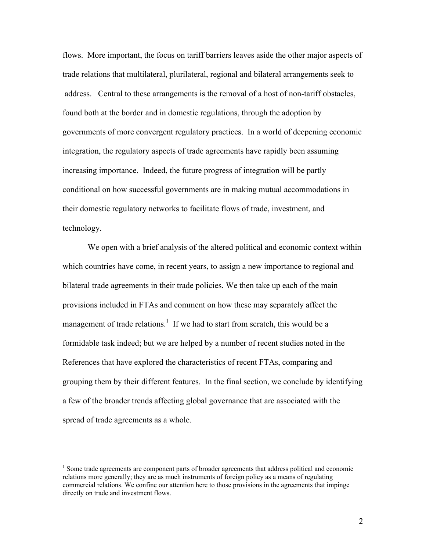flows. More important, the focus on tariff barriers leaves aside the other major aspects of trade relations that multilateral, plurilateral, regional and bilateral arrangements seek to address. Central to these arrangements is the removal of a host of non-tariff obstacles, found both at the border and in domestic regulations, through the adoption by governments of more convergent regulatory practices. In a world of deepening economic integration, the regulatory aspects of trade agreements have rapidly been assuming increasing importance. Indeed, the future progress of integration will be partly conditional on how successful governments are in making mutual accommodations in their domestic regulatory networks to facilitate flows of trade, investment, and technology.

We open with a brief analysis of the altered political and economic context within which countries have come, in recent years, to assign a new importance to regional and bilateral trade agreements in their trade policies. We then take up each of the main provisions included in FTAs and comment on how these may separately affect the management of trade relations.<sup>1</sup> If we had to start from scratch, this would be a formidable task indeed; but we are helped by a number of recent studies noted in the References that have explored the characteristics of recent FTAs, comparing and grouping them by their different features. In the final section, we conclude by identifying a few of the broader trends affecting global governance that are associated with the spread of trade agreements as a whole.

<sup>&</sup>lt;sup>1</sup> Some trade agreements are component parts of broader agreements that address political and economic relations more generally; they are as much instruments of foreign policy as a means of regulating commercial relations. We confine our attention here to those provisions in the agreements that impinge directly on trade and investment flows.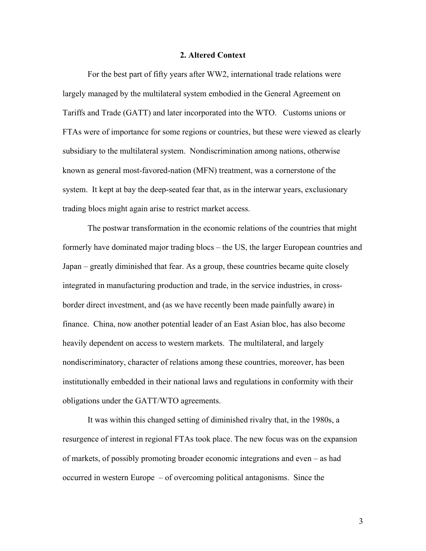#### **2. Altered Context**

For the best part of fifty years after WW2, international trade relations were largely managed by the multilateral system embodied in the General Agreement on Tariffs and Trade (GATT) and later incorporated into the WTO. Customs unions or FTAs were of importance for some regions or countries, but these were viewed as clearly subsidiary to the multilateral system. Nondiscrimination among nations, otherwise known as general most-favored-nation (MFN) treatment, was a cornerstone of the system. It kept at bay the deep-seated fear that, as in the interwar years, exclusionary trading blocs might again arise to restrict market access.

The postwar transformation in the economic relations of the countries that might formerly have dominated major trading blocs – the US, the larger European countries and Japan – greatly diminished that fear. As a group, these countries became quite closely integrated in manufacturing production and trade, in the service industries, in crossborder direct investment, and (as we have recently been made painfully aware) in finance. China, now another potential leader of an East Asian bloc, has also become heavily dependent on access to western markets. The multilateral, and largely nondiscriminatory, character of relations among these countries, moreover, has been institutionally embedded in their national laws and regulations in conformity with their obligations under the GATT/WTO agreements.

It was within this changed setting of diminished rivalry that, in the 1980s, a resurgence of interest in regional FTAs took place. The new focus was on the expansion of markets, of possibly promoting broader economic integrations and even – as had occurred in western Europe – of overcoming political antagonisms. Since the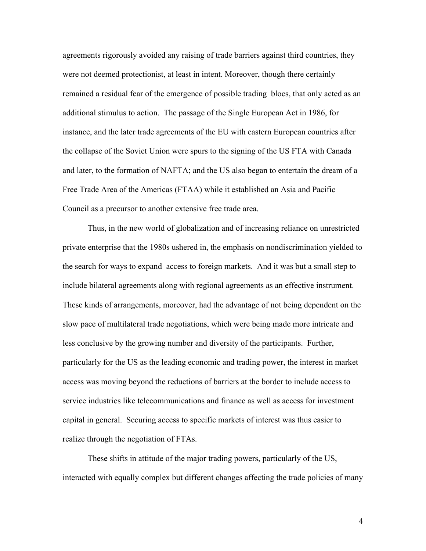agreements rigorously avoided any raising of trade barriers against third countries, they were not deemed protectionist, at least in intent. Moreover, though there certainly remained a residual fear of the emergence of possible trading blocs, that only acted as an additional stimulus to action. The passage of the Single European Act in 1986, for instance, and the later trade agreements of the EU with eastern European countries after the collapse of the Soviet Union were spurs to the signing of the US FTA with Canada and later, to the formation of NAFTA; and the US also began to entertain the dream of a Free Trade Area of the Americas (FTAA) while it established an Asia and Pacific Council as a precursor to another extensive free trade area.

Thus, in the new world of globalization and of increasing reliance on unrestricted private enterprise that the 1980s ushered in, the emphasis on nondiscrimination yielded to the search for ways to expand access to foreign markets. And it was but a small step to include bilateral agreements along with regional agreements as an effective instrument. These kinds of arrangements, moreover, had the advantage of not being dependent on the slow pace of multilateral trade negotiations, which were being made more intricate and less conclusive by the growing number and diversity of the participants. Further, particularly for the US as the leading economic and trading power, the interest in market access was moving beyond the reductions of barriers at the border to include access to service industries like telecommunications and finance as well as access for investment capital in general. Securing access to specific markets of interest was thus easier to realize through the negotiation of FTAs.

These shifts in attitude of the major trading powers, particularly of the US, interacted with equally complex but different changes affecting the trade policies of many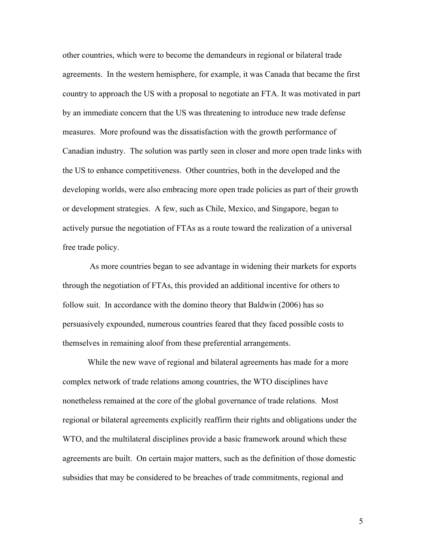other countries, which were to become the demandeurs in regional or bilateral trade agreements. In the western hemisphere, for example, it was Canada that became the first country to approach the US with a proposal to negotiate an FTA. It was motivated in part by an immediate concern that the US was threatening to introduce new trade defense measures. More profound was the dissatisfaction with the growth performance of Canadian industry. The solution was partly seen in closer and more open trade links with the US to enhance competitiveness. Other countries, both in the developed and the developing worlds, were also embracing more open trade policies as part of their growth or development strategies. A few, such as Chile, Mexico, and Singapore, began to actively pursue the negotiation of FTAs as a route toward the realization of a universal free trade policy.

 As more countries began to see advantage in widening their markets for exports through the negotiation of FTAs, this provided an additional incentive for others to follow suit. In accordance with the domino theory that Baldwin (2006) has so persuasively expounded, numerous countries feared that they faced possible costs to themselves in remaining aloof from these preferential arrangements.

While the new wave of regional and bilateral agreements has made for a more complex network of trade relations among countries, the WTO disciplines have nonetheless remained at the core of the global governance of trade relations. Most regional or bilateral agreements explicitly reaffirm their rights and obligations under the WTO, and the multilateral disciplines provide a basic framework around which these agreements are built. On certain major matters, such as the definition of those domestic subsidies that may be considered to be breaches of trade commitments, regional and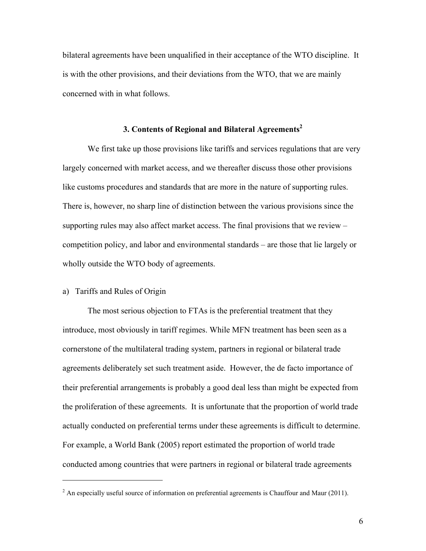bilateral agreements have been unqualified in their acceptance of the WTO discipline. It is with the other provisions, and their deviations from the WTO, that we are mainly concerned with in what follows.

## **3. Contents of Regional and Bilateral Agreements2**

We first take up those provisions like tariffs and services regulations that are very largely concerned with market access, and we thereafter discuss those other provisions like customs procedures and standards that are more in the nature of supporting rules. There is, however, no sharp line of distinction between the various provisions since the supporting rules may also affect market access. The final provisions that we review – competition policy, and labor and environmental standards – are those that lie largely or wholly outside the WTO body of agreements.

# a) Tariffs and Rules of Origin

 $\overline{a}$ 

The most serious objection to FTAs is the preferential treatment that they introduce, most obviously in tariff regimes. While MFN treatment has been seen as a cornerstone of the multilateral trading system, partners in regional or bilateral trade agreements deliberately set such treatment aside. However, the de facto importance of their preferential arrangements is probably a good deal less than might be expected from the proliferation of these agreements. It is unfortunate that the proportion of world trade actually conducted on preferential terms under these agreements is difficult to determine. For example, a World Bank (2005) report estimated the proportion of world trade conducted among countries that were partners in regional or bilateral trade agreements

 $2^{2}$  An especially useful source of information on preferential agreements is Chauffour and Maur (2011).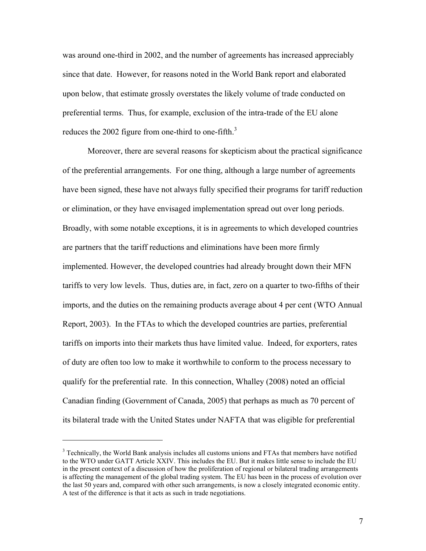was around one-third in 2002, and the number of agreements has increased appreciably since that date. However, for reasons noted in the World Bank report and elaborated upon below, that estimate grossly overstates the likely volume of trade conducted on preferential terms. Thus, for example, exclusion of the intra-trade of the EU alone reduces the 2002 figure from one-third to one-fifth. $3$ 

Moreover, there are several reasons for skepticism about the practical significance of the preferential arrangements. For one thing, although a large number of agreements have been signed, these have not always fully specified their programs for tariff reduction or elimination, or they have envisaged implementation spread out over long periods. Broadly, with some notable exceptions, it is in agreements to which developed countries are partners that the tariff reductions and eliminations have been more firmly implemented. However, the developed countries had already brought down their MFN tariffs to very low levels. Thus, duties are, in fact, zero on a quarter to two-fifths of their imports, and the duties on the remaining products average about 4 per cent (WTO Annual Report, 2003). In the FTAs to which the developed countries are parties, preferential tariffs on imports into their markets thus have limited value. Indeed, for exporters, rates of duty are often too low to make it worthwhile to conform to the process necessary to qualify for the preferential rate. In this connection, Whalley (2008) noted an official Canadian finding (Government of Canada, 2005) that perhaps as much as 70 percent of its bilateral trade with the United States under NAFTA that was eligible for preferential

<sup>&</sup>lt;sup>3</sup> Technically, the World Bank analysis includes all customs unions and FTAs that members have notified to the WTO under GATT Article XXIV. This includes the EU. But it makes little sense to include the EU in the present context of a discussion of how the proliferation of regional or bilateral trading arrangements is affecting the management of the global trading system. The EU has been in the process of evolution over the last 50 years and, compared with other such arrangements, is now a closely integrated economic entity. A test of the difference is that it acts as such in trade negotiations.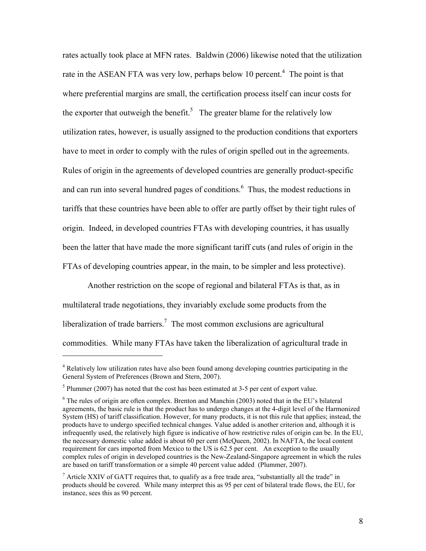rates actually took place at MFN rates. Baldwin (2006) likewise noted that the utilization rate in the ASEAN FTA was very low, perhaps below 10 percent.<sup>4</sup> The point is that where preferential margins are small, the certification process itself can incur costs for the exporter that outweigh the benefit.<sup>5</sup> The greater blame for the relatively low utilization rates, however, is usually assigned to the production conditions that exporters have to meet in order to comply with the rules of origin spelled out in the agreements. Rules of origin in the agreements of developed countries are generally product-specific and can run into several hundred pages of conditions.<sup>6</sup> Thus, the modest reductions in tariffs that these countries have been able to offer are partly offset by their tight rules of origin. Indeed, in developed countries FTAs with developing countries, it has usually been the latter that have made the more significant tariff cuts (and rules of origin in the FTAs of developing countries appear, in the main, to be simpler and less protective).

Another restriction on the scope of regional and bilateral FTAs is that, as in multilateral trade negotiations, they invariably exclude some products from the liberalization of trade barriers.<sup>7</sup> The most common exclusions are agricultural commodities. While many FTAs have taken the liberalization of agricultural trade in

<sup>&</sup>lt;sup>4</sup> Relatively low utilization rates have also been found among developing countries participating in the General System of Preferences (Brown and Stern, 2007).

 $<sup>5</sup>$  Plummer (2007) has noted that the cost has been estimated at 3-5 per cent of export value.</sup>

<sup>&</sup>lt;sup>6</sup> The rules of origin are often complex. Brenton and Manchin (2003) noted that in the EU's bilateral agreements, the basic rule is that the product has to undergo changes at the 4-digit level of the Harmonized System (HS) of tariff classification. However, for many products, it is not this rule that applies; instead, the products have to undergo specified technical changes. Value added is another criterion and, although it is infrequently used, the relatively high figure is indicative of how restrictive rules of origin can be. In the EU, the necessary domestic value added is about 60 per cent (McQueen, 2002). In NAFTA, the local content requirement for cars imported from Mexico to the US is 62.5 per cent. An exception to the usually complex rules of origin in developed countries is the New-Zealand-Singapore agreement in which the rules are based on tariff transformation or a simple 40 percent value added (Plummer, 2007).

<sup>&</sup>lt;sup>7</sup> Article XXIV of GATT requires that, to qualify as a free trade area, "substantially all the trade" in products should be covered. While many interpret this as 95 per cent of bilateral trade flows, the EU, for instance, sees this as 90 percent.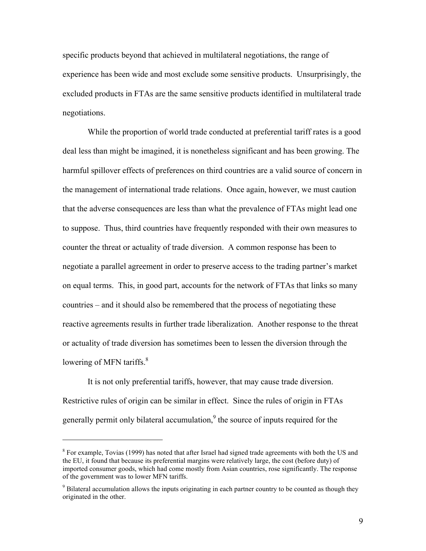specific products beyond that achieved in multilateral negotiations, the range of experience has been wide and most exclude some sensitive products. Unsurprisingly, the excluded products in FTAs are the same sensitive products identified in multilateral trade negotiations.

While the proportion of world trade conducted at preferential tariff rates is a good deal less than might be imagined, it is nonetheless significant and has been growing. The harmful spillover effects of preferences on third countries are a valid source of concern in the management of international trade relations. Once again, however, we must caution that the adverse consequences are less than what the prevalence of FTAs might lead one to suppose. Thus, third countries have frequently responded with their own measures to counter the threat or actuality of trade diversion. A common response has been to negotiate a parallel agreement in order to preserve access to the trading partner's market on equal terms. This, in good part, accounts for the network of FTAs that links so many countries – and it should also be remembered that the process of negotiating these reactive agreements results in further trade liberalization. Another response to the threat or actuality of trade diversion has sometimes been to lessen the diversion through the lowering of MFN tariffs.<sup>8</sup>

It is not only preferential tariffs, however, that may cause trade diversion. Restrictive rules of origin can be similar in effect. Since the rules of origin in FTAs generally permit only bilateral accumulation,<sup>9</sup> the source of inputs required for the

 $8$  For example, Tovias (1999) has noted that after Israel had signed trade agreements with both the US and the EU, it found that because its preferential margins were relatively large, the cost (before duty) of imported consumer goods, which had come mostly from Asian countries, rose significantly. The response of the government was to lower MFN tariffs.

<sup>&</sup>lt;sup>9</sup> Bilateral accumulation allows the inputs originating in each partner country to be counted as though they originated in the other.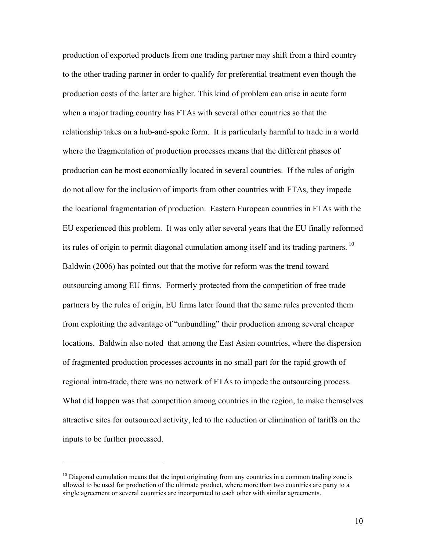production of exported products from one trading partner may shift from a third country to the other trading partner in order to qualify for preferential treatment even though the production costs of the latter are higher. This kind of problem can arise in acute form when a major trading country has FTAs with several other countries so that the relationship takes on a hub-and-spoke form. It is particularly harmful to trade in a world where the fragmentation of production processes means that the different phases of production can be most economically located in several countries. If the rules of origin do not allow for the inclusion of imports from other countries with FTAs, they impede the locational fragmentation of production. Eastern European countries in FTAs with the EU experienced this problem. It was only after several years that the EU finally reformed its rules of origin to permit diagonal cumulation among itself and its trading partners. 10 Baldwin (2006) has pointed out that the motive for reform was the trend toward outsourcing among EU firms. Formerly protected from the competition of free trade partners by the rules of origin, EU firms later found that the same rules prevented them from exploiting the advantage of "unbundling" their production among several cheaper locations. Baldwin also noted that among the East Asian countries, where the dispersion of fragmented production processes accounts in no small part for the rapid growth of regional intra-trade, there was no network of FTAs to impede the outsourcing process. What did happen was that competition among countries in the region, to make themselves attractive sites for outsourced activity, led to the reduction or elimination of tariffs on the inputs to be further processed.

 $10$  Diagonal cumulation means that the input originating from any countries in a common trading zone is allowed to be used for production of the ultimate product, where more than two countries are party to a single agreement or several countries are incorporated to each other with similar agreements.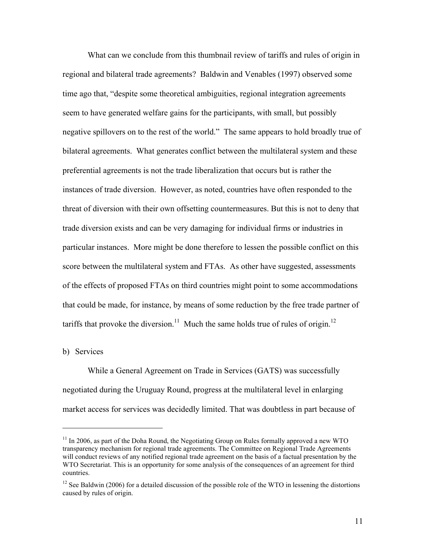What can we conclude from this thumbnail review of tariffs and rules of origin in regional and bilateral trade agreements? Baldwin and Venables (1997) observed some time ago that, "despite some theoretical ambiguities, regional integration agreements seem to have generated welfare gains for the participants, with small, but possibly negative spillovers on to the rest of the world." The same appears to hold broadly true of bilateral agreements. What generates conflict between the multilateral system and these preferential agreements is not the trade liberalization that occurs but is rather the instances of trade diversion. However, as noted, countries have often responded to the threat of diversion with their own offsetting countermeasures. But this is not to deny that trade diversion exists and can be very damaging for individual firms or industries in particular instances. More might be done therefore to lessen the possible conflict on this score between the multilateral system and FTAs. As other have suggested, assessments of the effects of proposed FTAs on third countries might point to some accommodations that could be made, for instance, by means of some reduction by the free trade partner of tariffs that provoke the diversion.<sup>11</sup> Much the same holds true of rules of origin.<sup>12</sup>

b) Services

 $\overline{a}$ 

While a General Agreement on Trade in Services (GATS) was successfully negotiated during the Uruguay Round, progress at the multilateral level in enlarging market access for services was decidedly limited. That was doubtless in part because of

 $11$  In 2006, as part of the Doha Round, the Negotiating Group on Rules formally approved a new WTO transparency mechanism for regional trade agreements. The Committee on Regional Trade Agreements will conduct reviews of any notified regional trade agreement on the basis of a factual presentation by the WTO Secretariat. This is an opportunity for some analysis of the consequences of an agreement for third countries.

 $12$  See Baldwin (2006) for a detailed discussion of the possible role of the WTO in lessening the distortions caused by rules of origin.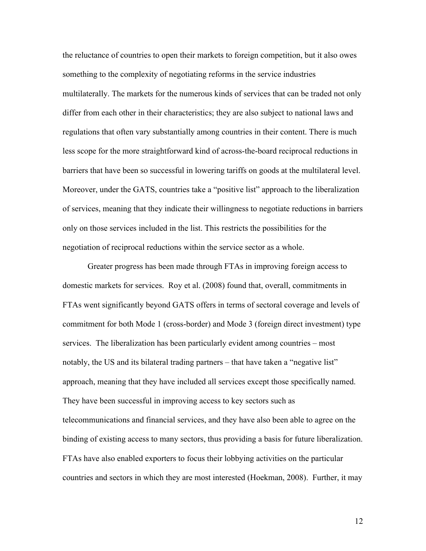the reluctance of countries to open their markets to foreign competition, but it also owes something to the complexity of negotiating reforms in the service industries multilaterally. The markets for the numerous kinds of services that can be traded not only differ from each other in their characteristics; they are also subject to national laws and regulations that often vary substantially among countries in their content. There is much less scope for the more straightforward kind of across-the-board reciprocal reductions in barriers that have been so successful in lowering tariffs on goods at the multilateral level. Moreover, under the GATS, countries take a "positive list" approach to the liberalization of services, meaning that they indicate their willingness to negotiate reductions in barriers only on those services included in the list. This restricts the possibilities for the negotiation of reciprocal reductions within the service sector as a whole.

Greater progress has been made through FTAs in improving foreign access to domestic markets for services. Roy et al. (2008) found that, overall, commitments in FTAs went significantly beyond GATS offers in terms of sectoral coverage and levels of commitment for both Mode 1 (cross-border) and Mode 3 (foreign direct investment) type services. The liberalization has been particularly evident among countries – most notably, the US and its bilateral trading partners – that have taken a "negative list" approach, meaning that they have included all services except those specifically named. They have been successful in improving access to key sectors such as telecommunications and financial services, and they have also been able to agree on the binding of existing access to many sectors, thus providing a basis for future liberalization. FTAs have also enabled exporters to focus their lobbying activities on the particular countries and sectors in which they are most interested (Hoekman, 2008). Further, it may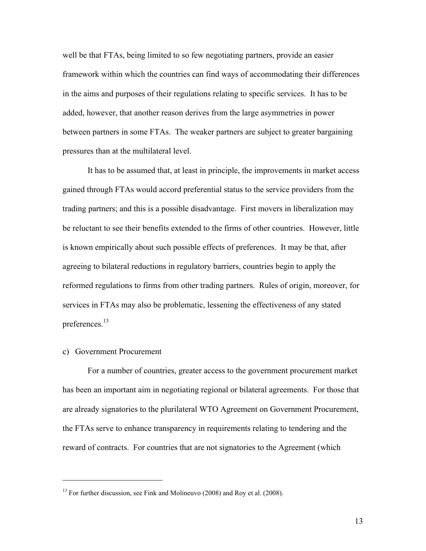well be that FTAs, being limited to so few negotiating partners, provide an easier framework within which the countries can find ways of accommodating their differences in the aims and purposes of their regulations relating to specific services. It has to be added, however, that another reason derives from the large asymmetries in power between partners in some FTAs. The weaker partners are subject to greater bargaining pressures than at the multilateral level.

It has to be assumed that, at least in principle, the improvements in market access gained through FTAs would accord preferential status to the service providers from the trading partners; and this is a possible disadvantage. First movers in liberalization may be reluctant to see their benefits extended to the firms of other countries. However, little is known empirically about such possible effects of preferences. It may be that, after agreeing to bilateral reductions in regulatory barriers, countries begin to apply the reformed regulations to firms from other trading partners. Rules of origin, moreover, for services in FTAs may also be problematic, lessening the effectiveness of any stated preferences.<sup>13</sup>

#### c) Government Procurement

 $\overline{a}$ 

For a number of countries, greater access to the government procurement market has been an important aim in negotiating regional or bilateral agreements. For those that are already signatories to the plurilateral WTO Agreement on Government Procurement, the FTAs serve to enhance transparency in requirements relating to tendering and the reward of contracts. For countries that are not signatories to the Agreement (which

 $13$  For further discussion, see Fink and Molineuvo (2008) and Roy et al. (2008).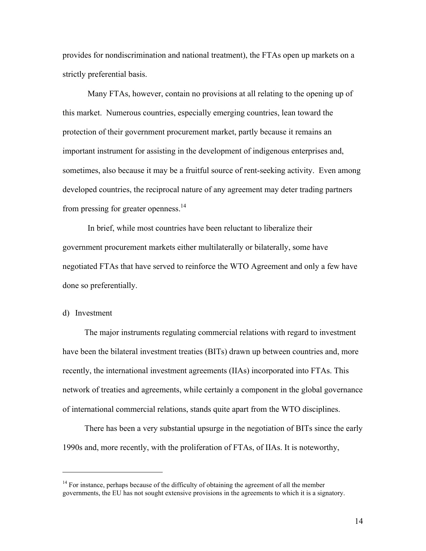provides for nondiscrimination and national treatment), the FTAs open up markets on a strictly preferential basis.

Many FTAs, however, contain no provisions at all relating to the opening up of this market. Numerous countries, especially emerging countries, lean toward the protection of their government procurement market, partly because it remains an important instrument for assisting in the development of indigenous enterprises and, sometimes, also because it may be a fruitful source of rent-seeking activity. Even among developed countries, the reciprocal nature of any agreement may deter trading partners from pressing for greater openness.<sup>14</sup>

In brief, while most countries have been reluctant to liberalize their government procurement markets either multilaterally or bilaterally, some have negotiated FTAs that have served to reinforce the WTO Agreement and only a few have done so preferentially.

#### d) Investment

 $\overline{a}$ 

The major instruments regulating commercial relations with regard to investment have been the bilateral investment treaties (BITs) drawn up between countries and, more recently, the international investment agreements (IIAs) incorporated into FTAs. This network of treaties and agreements, while certainly a component in the global governance of international commercial relations, stands quite apart from the WTO disciplines.

There has been a very substantial upsurge in the negotiation of BITs since the early 1990s and, more recently, with the proliferation of FTAs, of IIAs. It is noteworthy,

 $14$  For instance, perhaps because of the difficulty of obtaining the agreement of all the member governments, the EU has not sought extensive provisions in the agreements to which it is a signatory.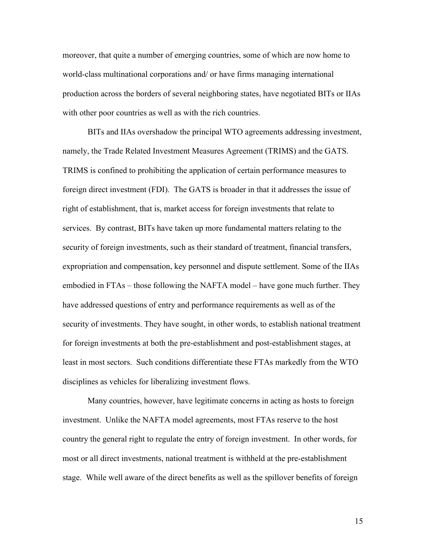moreover, that quite a number of emerging countries, some of which are now home to world-class multinational corporations and/ or have firms managing international production across the borders of several neighboring states, have negotiated BITs or IIAs with other poor countries as well as with the rich countries.

BITs and IIAs overshadow the principal WTO agreements addressing investment, namely, the Trade Related Investment Measures Agreement (TRIMS) and the GATS. TRIMS is confined to prohibiting the application of certain performance measures to foreign direct investment (FDI). The GATS is broader in that it addresses the issue of right of establishment, that is, market access for foreign investments that relate to services. By contrast, BITs have taken up more fundamental matters relating to the security of foreign investments, such as their standard of treatment, financial transfers, expropriation and compensation, key personnel and dispute settlement. Some of the IIAs embodied in FTAs – those following the NAFTA model – have gone much further. They have addressed questions of entry and performance requirements as well as of the security of investments. They have sought, in other words, to establish national treatment for foreign investments at both the pre-establishment and post-establishment stages, at least in most sectors. Such conditions differentiate these FTAs markedly from the WTO disciplines as vehicles for liberalizing investment flows.

Many countries, however, have legitimate concerns in acting as hosts to foreign investment. Unlike the NAFTA model agreements, most FTAs reserve to the host country the general right to regulate the entry of foreign investment. In other words, for most or all direct investments, national treatment is withheld at the pre-establishment stage. While well aware of the direct benefits as well as the spillover benefits of foreign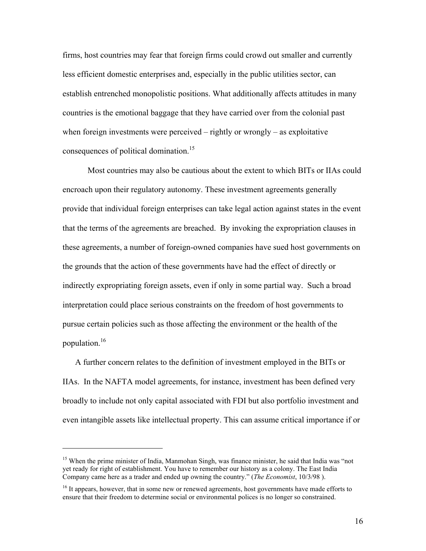firms, host countries may fear that foreign firms could crowd out smaller and currently less efficient domestic enterprises and, especially in the public utilities sector, can establish entrenched monopolistic positions. What additionally affects attitudes in many countries is the emotional baggage that they have carried over from the colonial past when foreign investments were perceived – rightly or wrongly – as exploitative consequences of political domination.<sup>15</sup>

Most countries may also be cautious about the extent to which BITs or IIAs could encroach upon their regulatory autonomy. These investment agreements generally provide that individual foreign enterprises can take legal action against states in the event that the terms of the agreements are breached. By invoking the expropriation clauses in these agreements, a number of foreign-owned companies have sued host governments on the grounds that the action of these governments have had the effect of directly or indirectly expropriating foreign assets, even if only in some partial way. Such a broad interpretation could place serious constraints on the freedom of host governments to pursue certain policies such as those affecting the environment or the health of the population.16

A further concern relates to the definition of investment employed in the BITs or IIAs. In the NAFTA model agreements, for instance, investment has been defined very broadly to include not only capital associated with FDI but also portfolio investment and even intangible assets like intellectual property. This can assume critical importance if or

<sup>&</sup>lt;sup>15</sup> When the prime minister of India, Manmohan Singh, was finance minister, he said that India was "not" yet ready for right of establishment. You have to remember our history as a colony. The East India Company came here as a trader and ended up owning the country." (*The Economist*, 10/3/98 ).

<sup>&</sup>lt;sup>16</sup> It appears, however, that in some new or renewed agreements, host governments have made efforts to ensure that their freedom to determine social or environmental polices is no longer so constrained.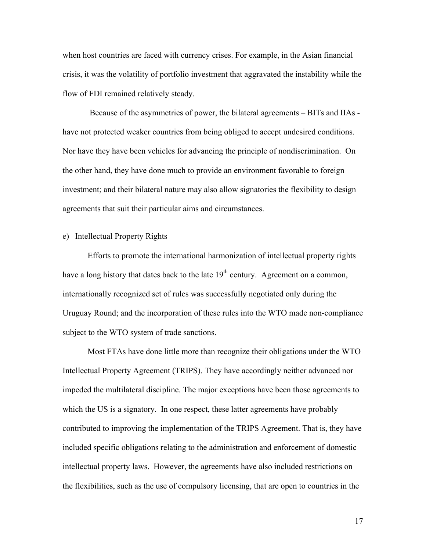when host countries are faced with currency crises. For example, in the Asian financial crisis, it was the volatility of portfolio investment that aggravated the instability while the flow of FDI remained relatively steady.

 Because of the asymmetries of power, the bilateral agreements – BITs and IIAs have not protected weaker countries from being obliged to accept undesired conditions. Nor have they have been vehicles for advancing the principle of nondiscrimination. On the other hand, they have done much to provide an environment favorable to foreign investment; and their bilateral nature may also allow signatories the flexibility to design agreements that suit their particular aims and circumstances.

### e) Intellectual Property Rights

Efforts to promote the international harmonization of intellectual property rights have a long history that dates back to the late  $19<sup>th</sup>$  century. Agreement on a common, internationally recognized set of rules was successfully negotiated only during the Uruguay Round; and the incorporation of these rules into the WTO made non-compliance subject to the WTO system of trade sanctions.

Most FTAs have done little more than recognize their obligations under the WTO Intellectual Property Agreement (TRIPS). They have accordingly neither advanced nor impeded the multilateral discipline. The major exceptions have been those agreements to which the US is a signatory. In one respect, these latter agreements have probably contributed to improving the implementation of the TRIPS Agreement. That is, they have included specific obligations relating to the administration and enforcement of domestic intellectual property laws. However, the agreements have also included restrictions on the flexibilities, such as the use of compulsory licensing, that are open to countries in the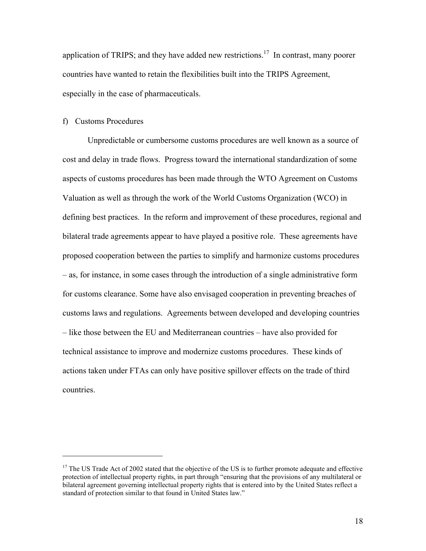application of TRIPS; and they have added new restrictions.<sup>17</sup> In contrast, many poorer countries have wanted to retain the flexibilities built into the TRIPS Agreement, especially in the case of pharmaceuticals.

#### f) Customs Procedures

 $\overline{a}$ 

Unpredictable or cumbersome customs procedures are well known as a source of cost and delay in trade flows. Progress toward the international standardization of some aspects of customs procedures has been made through the WTO Agreement on Customs Valuation as well as through the work of the World Customs Organization (WCO) in defining best practices. In the reform and improvement of these procedures, regional and bilateral trade agreements appear to have played a positive role. These agreements have proposed cooperation between the parties to simplify and harmonize customs procedures – as, for instance, in some cases through the introduction of a single administrative form for customs clearance. Some have also envisaged cooperation in preventing breaches of customs laws and regulations. Agreements between developed and developing countries – like those between the EU and Mediterranean countries – have also provided for technical assistance to improve and modernize customs procedures. These kinds of actions taken under FTAs can only have positive spillover effects on the trade of third countries.

<sup>&</sup>lt;sup>17</sup> The US Trade Act of 2002 stated that the objective of the US is to further promote adequate and effective protection of intellectual property rights, in part through "ensuring that the provisions of any multilateral or bilateral agreement governing intellectual property rights that is entered into by the United States reflect a standard of protection similar to that found in United States law."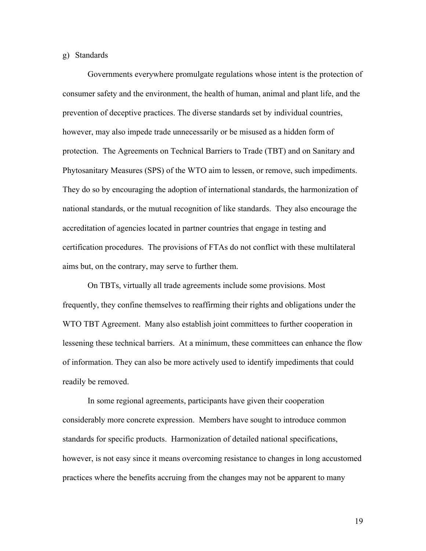#### g) Standards

Governments everywhere promulgate regulations whose intent is the protection of consumer safety and the environment, the health of human, animal and plant life, and the prevention of deceptive practices. The diverse standards set by individual countries, however, may also impede trade unnecessarily or be misused as a hidden form of protection. The Agreements on Technical Barriers to Trade (TBT) and on Sanitary and Phytosanitary Measures (SPS) of the WTO aim to lessen, or remove, such impediments. They do so by encouraging the adoption of international standards, the harmonization of national standards, or the mutual recognition of like standards. They also encourage the accreditation of agencies located in partner countries that engage in testing and certification procedures. The provisions of FTAs do not conflict with these multilateral aims but, on the contrary, may serve to further them.

On TBTs, virtually all trade agreements include some provisions. Most frequently, they confine themselves to reaffirming their rights and obligations under the WTO TBT Agreement. Many also establish joint committees to further cooperation in lessening these technical barriers. At a minimum, these committees can enhance the flow of information. They can also be more actively used to identify impediments that could readily be removed.

In some regional agreements, participants have given their cooperation considerably more concrete expression. Members have sought to introduce common standards for specific products. Harmonization of detailed national specifications, however, is not easy since it means overcoming resistance to changes in long accustomed practices where the benefits accruing from the changes may not be apparent to many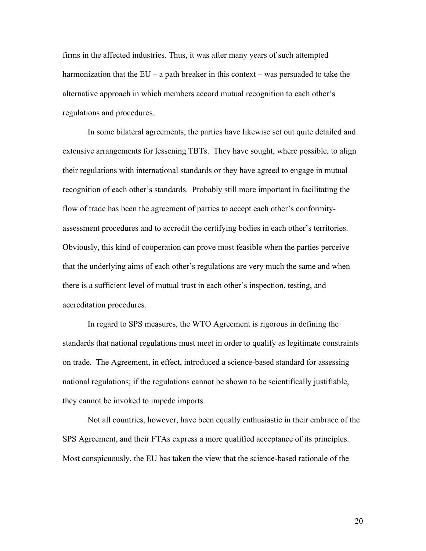firms in the affected industries. Thus, it was after many years of such attempted harmonization that the  $EU - a$  path breaker in this context – was persuaded to take the alternative approach in which members accord mutual recognition to each other's regulations and procedures.

In some bilateral agreements, the parties have likewise set out quite detailed and extensive arrangements for lessening TBTs. They have sought, where possible, to align their regulations with international standards or they have agreed to engage in mutual recognition of each other's standards. Probably still more important in facilitating the flow of trade has been the agreement of parties to accept each other's conformityassessment procedures and to accredit the certifying bodies in each other's territories. Obviously, this kind of cooperation can prove most feasible when the parties perceive that the underlying aims of each other's regulations are very much the same and when there is a sufficient level of mutual trust in each other's inspection, testing, and accreditation procedures.

In regard to SPS measures, the WTO Agreement is rigorous in defining the standards that national regulations must meet in order to qualify as legitimate constraints on trade. The Agreement, in effect, introduced a science-based standard for assessing national regulations; if the regulations cannot be shown to be scientifically justifiable, they cannot be invoked to impede imports.

Not all countries, however, have been equally enthusiastic in their embrace of the SPS Agreement, and their FTAs express a more qualified acceptance of its principles. Most conspicuously, the EU has taken the view that the science-based rationale of the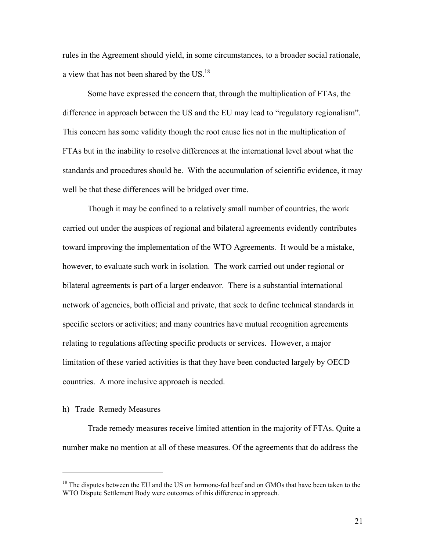rules in the Agreement should yield, in some circumstances, to a broader social rationale, a view that has not been shared by the US.18

Some have expressed the concern that, through the multiplication of FTAs, the difference in approach between the US and the EU may lead to "regulatory regionalism". This concern has some validity though the root cause lies not in the multiplication of FTAs but in the inability to resolve differences at the international level about what the standards and procedures should be. With the accumulation of scientific evidence, it may well be that these differences will be bridged over time.

Though it may be confined to a relatively small number of countries, the work carried out under the auspices of regional and bilateral agreements evidently contributes toward improving the implementation of the WTO Agreements. It would be a mistake, however, to evaluate such work in isolation. The work carried out under regional or bilateral agreements is part of a larger endeavor. There is a substantial international network of agencies, both official and private, that seek to define technical standards in specific sectors or activities; and many countries have mutual recognition agreements relating to regulations affecting specific products or services. However, a major limitation of these varied activities is that they have been conducted largely by OECD countries. A more inclusive approach is needed.

# h) Trade Remedy Measures

 $\overline{a}$ 

Trade remedy measures receive limited attention in the majority of FTAs. Quite a number make no mention at all of these measures. Of the agreements that do address the

<sup>&</sup>lt;sup>18</sup> The disputes between the EU and the US on hormone-fed beef and on GMOs that have been taken to the WTO Dispute Settlement Body were outcomes of this difference in approach.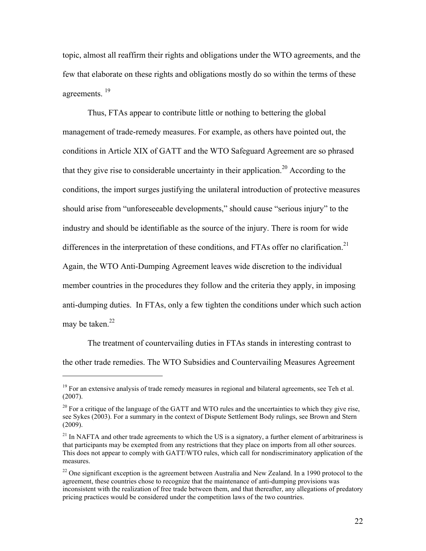topic, almost all reaffirm their rights and obligations under the WTO agreements, and the few that elaborate on these rights and obligations mostly do so within the terms of these agreements.<sup>19</sup>

Thus, FTAs appear to contribute little or nothing to bettering the global management of trade-remedy measures. For example, as others have pointed out, the conditions in Article XIX of GATT and the WTO Safeguard Agreement are so phrased that they give rise to considerable uncertainty in their application.<sup>20</sup> According to the conditions, the import surges justifying the unilateral introduction of protective measures should arise from "unforeseeable developments," should cause "serious injury" to the industry and should be identifiable as the source of the injury. There is room for wide differences in the interpretation of these conditions, and FTAs offer no clarification.<sup>21</sup> Again, the WTO Anti-Dumping Agreement leaves wide discretion to the individual member countries in the procedures they follow and the criteria they apply, in imposing anti-dumping duties. In FTAs, only a few tighten the conditions under which such action may be taken. $^{22}$ 

The treatment of countervailing duties in FTAs stands in interesting contrast to the other trade remedies. The WTO Subsidies and Countervailing Measures Agreement

 $19$  For an extensive analysis of trade remedy measures in regional and bilateral agreements, see Teh et al. (2007).

<sup>&</sup>lt;sup>20</sup> For a critique of the language of the GATT and WTO rules and the uncertainties to which they give rise, see Sykes (2003). For a summary in the context of Dispute Settlement Body rulings, see Brown and Stern (2009).

 $21$  In NAFTA and other trade agreements to which the US is a signatory, a further element of arbitrariness is that participants may be exempted from any restrictions that they place on imports from all other sources. This does not appear to comply with GATT/WTO rules, which call for nondiscriminatory application of the measures.

<sup>&</sup>lt;sup>22</sup> One significant exception is the agreement between Australia and New Zealand. In a 1990 protocol to the agreement, these countries chose to recognize that the maintenance of anti-dumping provisions was inconsistent with the realization of free trade between them, and that thereafter, any allegations of predatory pricing practices would be considered under the competition laws of the two countries.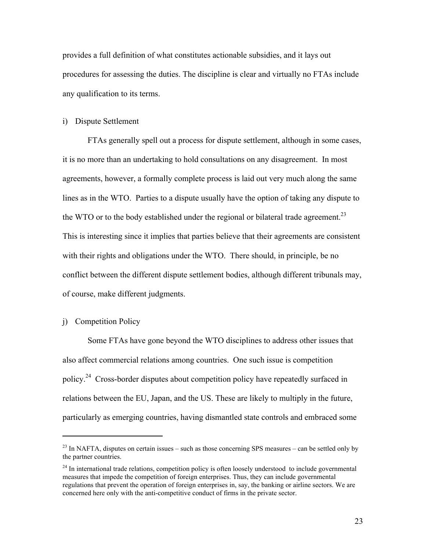provides a full definition of what constitutes actionable subsidies, and it lays out procedures for assessing the duties. The discipline is clear and virtually no FTAs include any qualification to its terms.

#### i) Dispute Settlement

FTAs generally spell out a process for dispute settlement, although in some cases, it is no more than an undertaking to hold consultations on any disagreement. In most agreements, however, a formally complete process is laid out very much along the same lines as in the WTO. Parties to a dispute usually have the option of taking any dispute to the WTO or to the body established under the regional or bilateral trade agreement.<sup>23</sup> This is interesting since it implies that parties believe that their agreements are consistent with their rights and obligations under the WTO. There should, in principle, be no conflict between the different dispute settlement bodies, although different tribunals may, of course, make different judgments.

j) Competition Policy

 $\overline{a}$ 

Some FTAs have gone beyond the WTO disciplines to address other issues that also affect commercial relations among countries. One such issue is competition policy.24 Cross-border disputes about competition policy have repeatedly surfaced in relations between the EU, Japan, and the US. These are likely to multiply in the future, particularly as emerging countries, having dismantled state controls and embraced some

 $^{23}$  In NAFTA, disputes on certain issues – such as those concerning SPS measures – can be settled only by the partner countries.

 $^{24}$  In international trade relations, competition policy is often loosely understood to include governmental measures that impede the competition of foreign enterprises. Thus, they can include governmental regulations that prevent the operation of foreign enterprises in, say, the banking or airline sectors. We are concerned here only with the anti-competitive conduct of firms in the private sector.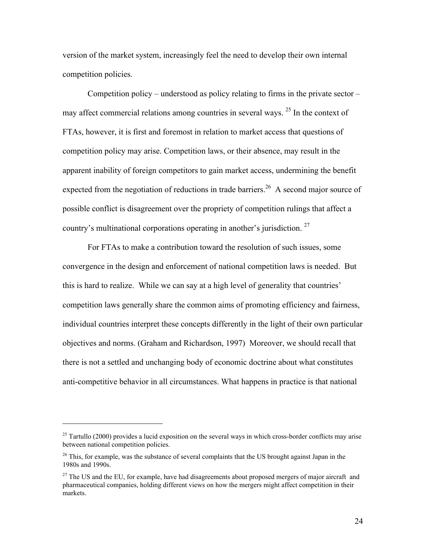version of the market system, increasingly feel the need to develop their own internal competition policies.

Competition policy – understood as policy relating to firms in the private sector – may affect commercial relations among countries in several ways.<sup>25</sup> In the context of FTAs, however, it is first and foremost in relation to market access that questions of competition policy may arise. Competition laws, or their absence, may result in the apparent inability of foreign competitors to gain market access, undermining the benefit expected from the negotiation of reductions in trade barriers.<sup>26</sup> A second major source of possible conflict is disagreement over the propriety of competition rulings that affect a country's multinational corporations operating in another's jurisdiction. 27

For FTAs to make a contribution toward the resolution of such issues, some convergence in the design and enforcement of national competition laws is needed. But this is hard to realize. While we can say at a high level of generality that countries' competition laws generally share the common aims of promoting efficiency and fairness, individual countries interpret these concepts differently in the light of their own particular objectives and norms. (Graham and Richardson, 1997) Moreover, we should recall that there is not a settled and unchanging body of economic doctrine about what constitutes anti-competitive behavior in all circumstances. What happens in practice is that national

 $25$  Tartullo (2000) provides a lucid exposition on the several ways in which cross-border conflicts may arise between national competition policies.

<sup>&</sup>lt;sup>26</sup> This, for example, was the substance of several complaints that the US brought against Japan in the 1980s and 1990s.

<sup>&</sup>lt;sup>27</sup> The US and the EU, for example, have had disagreements about proposed mergers of major aircraft and pharmaceutical companies, holding different views on how the mergers might affect competition in their markets.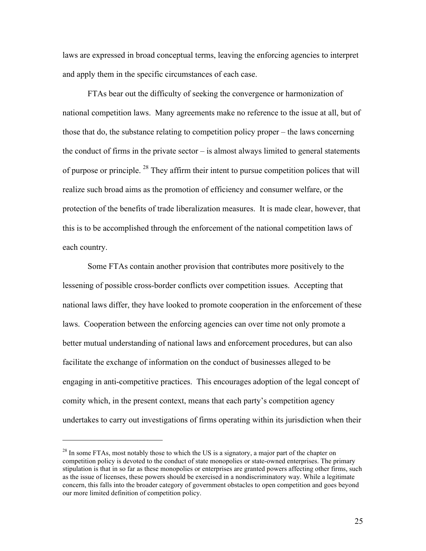laws are expressed in broad conceptual terms, leaving the enforcing agencies to interpret and apply them in the specific circumstances of each case.

FTAs bear out the difficulty of seeking the convergence or harmonization of national competition laws. Many agreements make no reference to the issue at all, but of those that do, the substance relating to competition policy proper – the laws concerning the conduct of firms in the private sector  $-$  is almost always limited to general statements of purpose or principle.  $^{28}$  They affirm their intent to pursue competition polices that will realize such broad aims as the promotion of efficiency and consumer welfare, or the protection of the benefits of trade liberalization measures. It is made clear, however, that this is to be accomplished through the enforcement of the national competition laws of each country.

Some FTAs contain another provision that contributes more positively to the lessening of possible cross-border conflicts over competition issues. Accepting that national laws differ, they have looked to promote cooperation in the enforcement of these laws. Cooperation between the enforcing agencies can over time not only promote a better mutual understanding of national laws and enforcement procedures, but can also facilitate the exchange of information on the conduct of businesses alleged to be engaging in anti-competitive practices. This encourages adoption of the legal concept of comity which, in the present context, means that each party's competition agency undertakes to carry out investigations of firms operating within its jurisdiction when their

<sup>&</sup>lt;sup>28</sup> In some FTAs, most notably those to which the US is a signatory, a major part of the chapter on competition policy is devoted to the conduct of state monopolies or state-owned enterprises. The primary stipulation is that in so far as these monopolies or enterprises are granted powers affecting other firms, such as the issue of licenses, these powers should be exercised in a nondiscriminatory way. While a legitimate concern, this falls into the broader category of government obstacles to open competition and goes beyond our more limited definition of competition policy.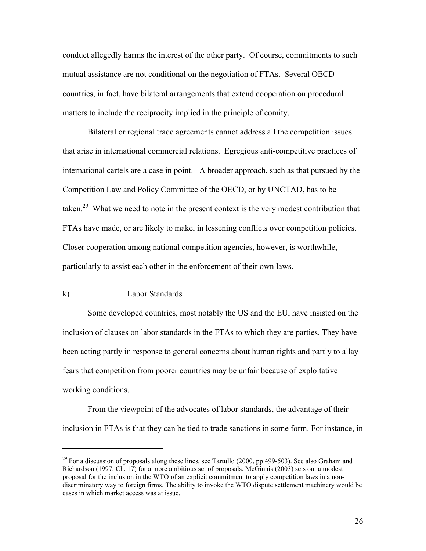conduct allegedly harms the interest of the other party. Of course, commitments to such mutual assistance are not conditional on the negotiation of FTAs. Several OECD countries, in fact, have bilateral arrangements that extend cooperation on procedural matters to include the reciprocity implied in the principle of comity.

Bilateral or regional trade agreements cannot address all the competition issues that arise in international commercial relations. Egregious anti-competitive practices of international cartels are a case in point. A broader approach, such as that pursued by the Competition Law and Policy Committee of the OECD, or by UNCTAD, has to be taken.<sup>29</sup> What we need to note in the present context is the very modest contribution that FTAs have made, or are likely to make, in lessening conflicts over competition policies. Closer cooperation among national competition agencies, however, is worthwhile, particularly to assist each other in the enforcement of their own laws.

#### k) Labor Standards

 $\overline{a}$ 

Some developed countries, most notably the US and the EU, have insisted on the inclusion of clauses on labor standards in the FTAs to which they are parties. They have been acting partly in response to general concerns about human rights and partly to allay fears that competition from poorer countries may be unfair because of exploitative working conditions.

From the viewpoint of the advocates of labor standards, the advantage of their inclusion in FTAs is that they can be tied to trade sanctions in some form. For instance, in

<sup>&</sup>lt;sup>29</sup> For a discussion of proposals along these lines, see Tartullo (2000, pp 499-503). See also Graham and Richardson (1997, Ch. 17) for a more ambitious set of proposals. McGinnis (2003) sets out a modest proposal for the inclusion in the WTO of an explicit commitment to apply competition laws in a nondiscriminatory way to foreign firms. The ability to invoke the WTO dispute settlement machinery would be cases in which market access was at issue.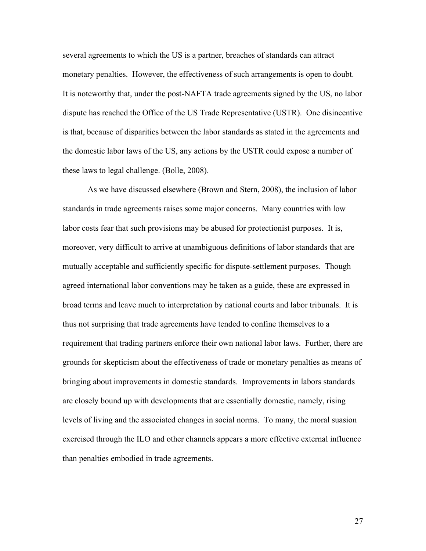several agreements to which the US is a partner, breaches of standards can attract monetary penalties. However, the effectiveness of such arrangements is open to doubt. It is noteworthy that, under the post-NAFTA trade agreements signed by the US, no labor dispute has reached the Office of the US Trade Representative (USTR). One disincentive is that, because of disparities between the labor standards as stated in the agreements and the domestic labor laws of the US, any actions by the USTR could expose a number of these laws to legal challenge. (Bolle, 2008).

As we have discussed elsewhere (Brown and Stern, 2008), the inclusion of labor standards in trade agreements raises some major concerns. Many countries with low labor costs fear that such provisions may be abused for protectionist purposes. It is, moreover, very difficult to arrive at unambiguous definitions of labor standards that are mutually acceptable and sufficiently specific for dispute-settlement purposes. Though agreed international labor conventions may be taken as a guide, these are expressed in broad terms and leave much to interpretation by national courts and labor tribunals. It is thus not surprising that trade agreements have tended to confine themselves to a requirement that trading partners enforce their own national labor laws. Further, there are grounds for skepticism about the effectiveness of trade or monetary penalties as means of bringing about improvements in domestic standards. Improvements in labors standards are closely bound up with developments that are essentially domestic, namely, rising levels of living and the associated changes in social norms. To many, the moral suasion exercised through the ILO and other channels appears a more effective external influence than penalties embodied in trade agreements.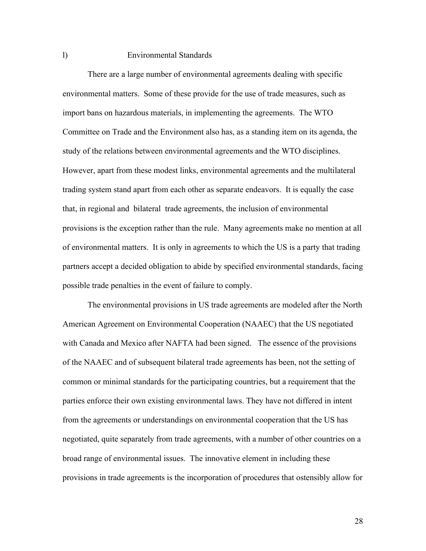### l) Environmental Standards

There are a large number of environmental agreements dealing with specific environmental matters. Some of these provide for the use of trade measures, such as import bans on hazardous materials, in implementing the agreements. The WTO Committee on Trade and the Environment also has, as a standing item on its agenda, the study of the relations between environmental agreements and the WTO disciplines. However, apart from these modest links, environmental agreements and the multilateral trading system stand apart from each other as separate endeavors. It is equally the case that, in regional and bilateral trade agreements, the inclusion of environmental provisions is the exception rather than the rule. Many agreements make no mention at all of environmental matters. It is only in agreements to which the US is a party that trading partners accept a decided obligation to abide by specified environmental standards, facing possible trade penalties in the event of failure to comply.

The environmental provisions in US trade agreements are modeled after the North American Agreement on Environmental Cooperation (NAAEC) that the US negotiated with Canada and Mexico after NAFTA had been signed. The essence of the provisions of the NAAEC and of subsequent bilateral trade agreements has been, not the setting of common or minimal standards for the participating countries, but a requirement that the parties enforce their own existing environmental laws. They have not differed in intent from the agreements or understandings on environmental cooperation that the US has negotiated, quite separately from trade agreements, with a number of other countries on a broad range of environmental issues. The innovative element in including these provisions in trade agreements is the incorporation of procedures that ostensibly allow for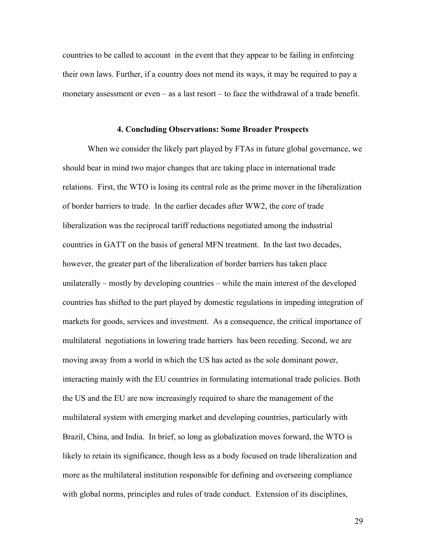countries to be called to account in the event that they appear to be failing in enforcing their own laws. Further, if a country does not mend its ways, it may be required to pay a monetary assessment or even – as a last resort – to face the withdrawal of a trade benefit.

#### **4. Concluding Observations: Some Broader Prospects**

When we consider the likely part played by FTAs in future global governance, we should bear in mind two major changes that are taking place in international trade relations. First, the WTO is losing its central role as the prime mover in the liberalization of border barriers to trade. In the earlier decades after WW2, the core of trade liberalization was the reciprocal tariff reductions negotiated among the industrial countries in GATT on the basis of general MFN treatment. In the last two decades, however, the greater part of the liberalization of border barriers has taken place unilaterally – mostly by developing countries – while the main interest of the developed countries has shifted to the part played by domestic regulations in impeding integration of markets for goods, services and investment. As a consequence, the critical importance of multilateral negotiations in lowering trade barriers has been receding. Second, we are moving away from a world in which the US has acted as the sole dominant power, interacting mainly with the EU countries in formulating international trade policies. Both the US and the EU are now increasingly required to share the management of the multilateral system with emerging market and developing countries, particularly with Brazil, China, and India. In brief, so long as globalization moves forward, the WTO is likely to retain its significance, though less as a body focused on trade liberalization and more as the multilateral institution responsible for defining and overseeing compliance with global norms, principles and rules of trade conduct. Extension of its disciplines,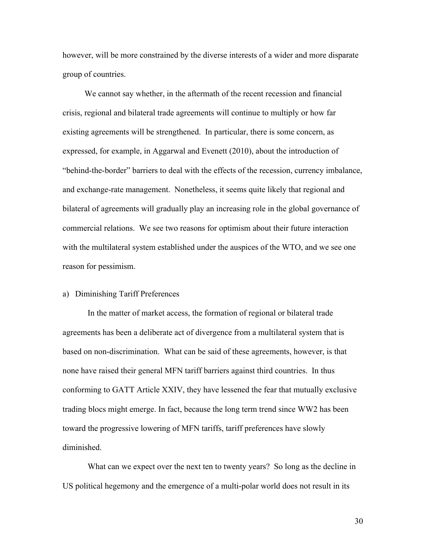however, will be more constrained by the diverse interests of a wider and more disparate group of countries.

We cannot say whether, in the aftermath of the recent recession and financial crisis, regional and bilateral trade agreements will continue to multiply or how far existing agreements will be strengthened. In particular, there is some concern, as expressed, for example, in Aggarwal and Evenett (2010), about the introduction of "behind-the-border" barriers to deal with the effects of the recession, currency imbalance, and exchange-rate management. Nonetheless, it seems quite likely that regional and bilateral of agreements will gradually play an increasing role in the global governance of commercial relations. We see two reasons for optimism about their future interaction with the multilateral system established under the auspices of the WTO, and we see one reason for pessimism.

#### a) Diminishing Tariff Preferences

In the matter of market access, the formation of regional or bilateral trade agreements has been a deliberate act of divergence from a multilateral system that is based on non-discrimination. What can be said of these agreements, however, is that none have raised their general MFN tariff barriers against third countries. In thus conforming to GATT Article XXIV, they have lessened the fear that mutually exclusive trading blocs might emerge. In fact, because the long term trend since WW2 has been toward the progressive lowering of MFN tariffs, tariff preferences have slowly diminished.

What can we expect over the next ten to twenty years? So long as the decline in US political hegemony and the emergence of a multi-polar world does not result in its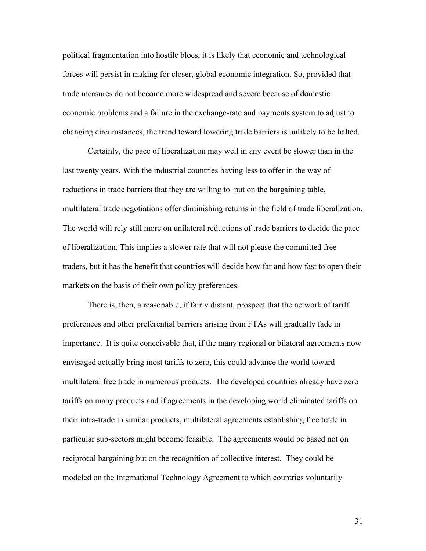political fragmentation into hostile blocs, it is likely that economic and technological forces will persist in making for closer, global economic integration. So, provided that trade measures do not become more widespread and severe because of domestic economic problems and a failure in the exchange-rate and payments system to adjust to changing circumstances, the trend toward lowering trade barriers is unlikely to be halted.

Certainly, the pace of liberalization may well in any event be slower than in the last twenty years. With the industrial countries having less to offer in the way of reductions in trade barriers that they are willing to put on the bargaining table, multilateral trade negotiations offer diminishing returns in the field of trade liberalization. The world will rely still more on unilateral reductions of trade barriers to decide the pace of liberalization. This implies a slower rate that will not please the committed free traders, but it has the benefit that countries will decide how far and how fast to open their markets on the basis of their own policy preferences.

There is, then, a reasonable, if fairly distant, prospect that the network of tariff preferences and other preferential barriers arising from FTAs will gradually fade in importance. It is quite conceivable that, if the many regional or bilateral agreements now envisaged actually bring most tariffs to zero, this could advance the world toward multilateral free trade in numerous products. The developed countries already have zero tariffs on many products and if agreements in the developing world eliminated tariffs on their intra-trade in similar products, multilateral agreements establishing free trade in particular sub-sectors might become feasible. The agreements would be based not on reciprocal bargaining but on the recognition of collective interest. They could be modeled on the International Technology Agreement to which countries voluntarily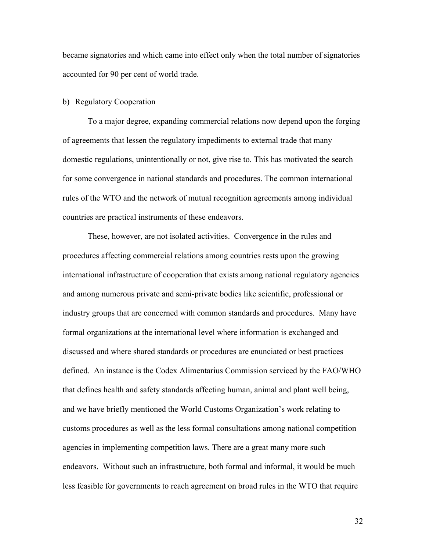became signatories and which came into effect only when the total number of signatories accounted for 90 per cent of world trade.

#### b) Regulatory Cooperation

To a major degree, expanding commercial relations now depend upon the forging of agreements that lessen the regulatory impediments to external trade that many domestic regulations, unintentionally or not, give rise to. This has motivated the search for some convergence in national standards and procedures. The common international rules of the WTO and the network of mutual recognition agreements among individual countries are practical instruments of these endeavors.

These, however, are not isolated activities. Convergence in the rules and procedures affecting commercial relations among countries rests upon the growing international infrastructure of cooperation that exists among national regulatory agencies and among numerous private and semi-private bodies like scientific, professional or industry groups that are concerned with common standards and procedures. Many have formal organizations at the international level where information is exchanged and discussed and where shared standards or procedures are enunciated or best practices defined. An instance is the Codex Alimentarius Commission serviced by the FAO/WHO that defines health and safety standards affecting human, animal and plant well being, and we have briefly mentioned the World Customs Organization's work relating to customs procedures as well as the less formal consultations among national competition agencies in implementing competition laws. There are a great many more such endeavors. Without such an infrastructure, both formal and informal, it would be much less feasible for governments to reach agreement on broad rules in the WTO that require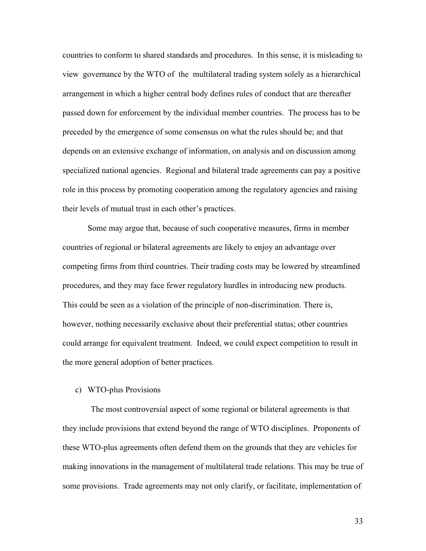countries to conform to shared standards and procedures. In this sense, it is misleading to view governance by the WTO of the multilateral trading system solely as a hierarchical arrangement in which a higher central body defines rules of conduct that are thereafter passed down for enforcement by the individual member countries. The process has to be preceded by the emergence of some consensus on what the rules should be; and that depends on an extensive exchange of information, on analysis and on discussion among specialized national agencies. Regional and bilateral trade agreements can pay a positive role in this process by promoting cooperation among the regulatory agencies and raising their levels of mutual trust in each other's practices.

Some may argue that, because of such cooperative measures, firms in member countries of regional or bilateral agreements are likely to enjoy an advantage over competing firms from third countries. Their trading costs may be lowered by streamlined procedures, and they may face fewer regulatory hurdles in introducing new products. This could be seen as a violation of the principle of non-discrimination. There is, however, nothing necessarily exclusive about their preferential status; other countries could arrange for equivalent treatment. Indeed, we could expect competition to result in the more general adoption of better practices.

### c) WTO-plus Provisions

The most controversial aspect of some regional or bilateral agreements is that they include provisions that extend beyond the range of WTO disciplines. Proponents of these WTO-plus agreements often defend them on the grounds that they are vehicles for making innovations in the management of multilateral trade relations. This may be true of some provisions. Trade agreements may not only clarify, or facilitate, implementation of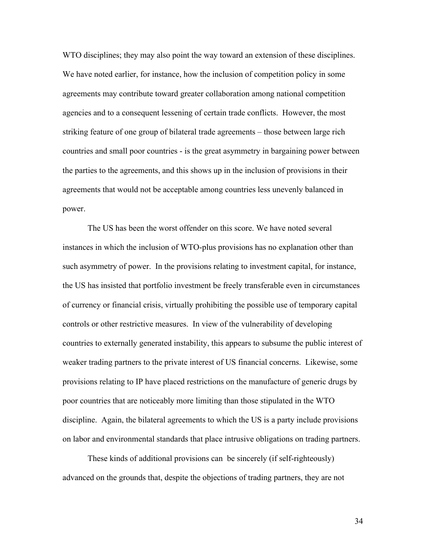WTO disciplines; they may also point the way toward an extension of these disciplines. We have noted earlier, for instance, how the inclusion of competition policy in some agreements may contribute toward greater collaboration among national competition agencies and to a consequent lessening of certain trade conflicts. However, the most striking feature of one group of bilateral trade agreements – those between large rich countries and small poor countries - is the great asymmetry in bargaining power between the parties to the agreements, and this shows up in the inclusion of provisions in their agreements that would not be acceptable among countries less unevenly balanced in power.

The US has been the worst offender on this score. We have noted several instances in which the inclusion of WTO-plus provisions has no explanation other than such asymmetry of power. In the provisions relating to investment capital, for instance, the US has insisted that portfolio investment be freely transferable even in circumstances of currency or financial crisis, virtually prohibiting the possible use of temporary capital controls or other restrictive measures. In view of the vulnerability of developing countries to externally generated instability, this appears to subsume the public interest of weaker trading partners to the private interest of US financial concerns. Likewise, some provisions relating to IP have placed restrictions on the manufacture of generic drugs by poor countries that are noticeably more limiting than those stipulated in the WTO discipline. Again, the bilateral agreements to which the US is a party include provisions on labor and environmental standards that place intrusive obligations on trading partners.

These kinds of additional provisions can be sincerely (if self-righteously) advanced on the grounds that, despite the objections of trading partners, they are not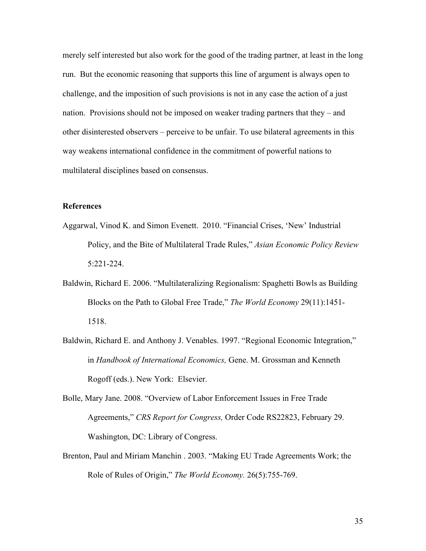merely self interested but also work for the good of the trading partner, at least in the long run. But the economic reasoning that supports this line of argument is always open to challenge, and the imposition of such provisions is not in any case the action of a just nation. Provisions should not be imposed on weaker trading partners that they – and other disinterested observers – perceive to be unfair. To use bilateral agreements in this way weakens international confidence in the commitment of powerful nations to multilateral disciplines based on consensus.

# **References**

- Aggarwal, Vinod K. and Simon Evenett. 2010. "Financial Crises, 'New' Industrial Policy, and the Bite of Multilateral Trade Rules," *Asian Economic Policy Review* 5:221-224.
- Baldwin, Richard E. 2006. "Multilateralizing Regionalism: Spaghetti Bowls as Building Blocks on the Path to Global Free Trade," *The World Economy* 29(11):1451- 1518.
- Baldwin, Richard E. and Anthony J. Venables. 1997. "Regional Economic Integration," in *Handbook of International Economics,* Gene. M. Grossman and Kenneth Rogoff (eds.). New York: Elsevier.

Bolle, Mary Jane. 2008. "Overview of Labor Enforcement Issues in Free Trade Agreements," *CRS Report for Congress,* Order Code RS22823, February 29. Washington, DC: Library of Congress.

Brenton, Paul and Miriam Manchin . 2003. "Making EU Trade Agreements Work; the Role of Rules of Origin," *The World Economy.* 26(5):755-769.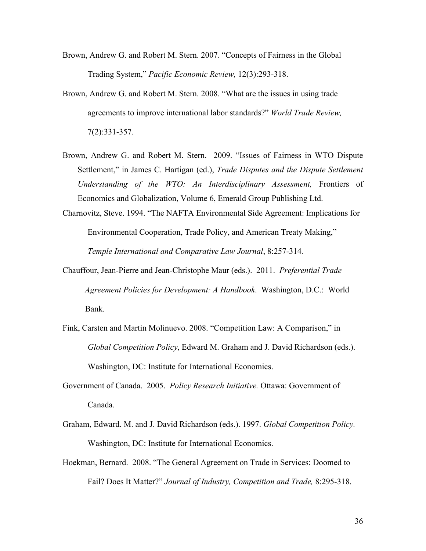- Brown, Andrew G. and Robert M. Stern. 2007. "Concepts of Fairness in the Global Trading System," *Pacific Economic Review,* 12(3):293-318.
- Brown, Andrew G. and Robert M. Stern. 2008. "What are the issues in using trade agreements to improve international labor standards?" *World Trade Review,* 7(2):331-357.
- Brown, Andrew G. and Robert M. Stern. 2009. "Issues of Fairness in WTO Dispute Settlement," in James C. Hartigan (ed.), *Trade Disputes and the Dispute Settlement Understanding of the WTO: An Interdisciplinary Assessment,* Frontiers of Economics and Globalization, Volume 6, Emerald Group Publishing Ltd.

Charnovitz, Steve. 1994. "The NAFTA Environmental Side Agreement: Implications for Environmental Cooperation, Trade Policy, and American Treaty Making," *Temple International and Comparative Law Journal*, 8:257-314*.*

- Chauffour, Jean-Pierre and Jean-Christophe Maur (eds.). 2011. *Preferential Trade Agreement Policies for Development: A Handbook*. Washington, D.C.: World Bank.
- Fink, Carsten and Martin Molinuevo. 2008. "Competition Law: A Comparison," in *Global Competition Policy*, Edward M. Graham and J. David Richardson (eds.). Washington, DC: Institute for International Economics.
- Government of Canada. 2005. *Policy Research Initiative.* Ottawa: Government of Canada.
- Graham, Edward. M. and J. David Richardson (eds.). 1997. *Global Competition Policy.*  Washington, DC: Institute for International Economics.
- Hoekman, Bernard. 2008. "The General Agreement on Trade in Services: Doomed to Fail? Does It Matter?" *Journal of Industry, Competition and Trade,* 8:295-318.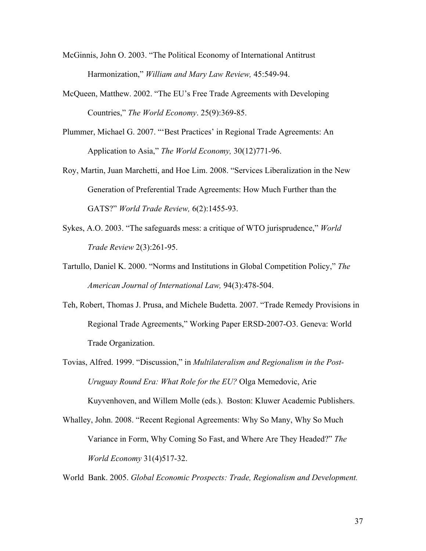- McGinnis, John O. 2003. "The Political Economy of International Antitrust Harmonization," *William and Mary Law Review,* 45:549-94.
- McQueen, Matthew. 2002. "The EU's Free Trade Agreements with Developing Countries," *The World Economy*. 25(9):369-85.
- Plummer, Michael G. 2007. "'Best Practices' in Regional Trade Agreements: An Application to Asia," *The World Economy,* 30(12)771-96.
- Roy, Martin, Juan Marchetti, and Hoe Lim. 2008. "Services Liberalization in the New Generation of Preferential Trade Agreements: How Much Further than the GATS?" *World Trade Review,* 6(2):1455-93.
- Sykes, A.O. 2003. "The safeguards mess: a critique of WTO jurisprudence," *World Trade Review* 2(3):261-95.
- Tartullo, Daniel K. 2000. "Norms and Institutions in Global Competition Policy," *The American Journal of International Law,* 94(3):478-504.
- Teh, Robert, Thomas J. Prusa, and Michele Budetta. 2007. "Trade Remedy Provisions in Regional Trade Agreements," Working Paper ERSD-2007-O3. Geneva: World Trade Organization.
- Tovias, Alfred. 1999. "Discussion," in *Multilateralism and Regionalism in the Post-Uruguay Round Era: What Role for the EU?* Olga Memedovic, Arie

Kuyvenhoven, and Willem Molle (eds.). Boston: Kluwer Academic Publishers.

Whalley, John. 2008. "Recent Regional Agreements: Why So Many, Why So Much Variance in Form, Why Coming So Fast, and Where Are They Headed?" *The World Economy* 31(4)517-32.

World Bank. 2005. *Global Economic Prospects: Trade, Regionalism and Development.*